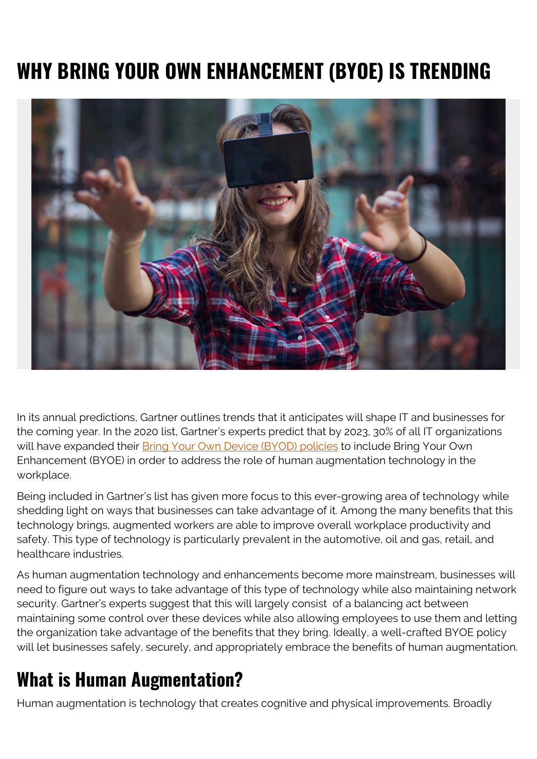# **WHY BRING YOUR OWN ENHANCEMENT (BYOE) IS TRENDING**



In its annual predictions, Gartner outlines trends that it anticipates will shape IT and businesses for the coming year. In the 2020 list, Gartner's experts predict that by 2023, 30% of all IT organizations will have expanded their **Bring Your Own Device (BYOD) policies** to include Bring Your Own Enhancement (BYOE) in order to address the role of human augmentation technology in the workplace.

Being included in Gartner's list has given more focus to this ever-growing area of technology while shedding light on ways that businesses can take advantage of it. Among the many benefits that this technology brings, augmented workers are able to improve overall workplace productivity and safety. This type of technology is particularly prevalent in the automotive, oil and gas, retail, and healthcare industries.

As human augmentation technology and enhancements become more mainstream, businesses will need to figure out ways to take advantage of this type of technology while also maintaining network security. Gartner's experts suggest that this will largely consist of a balancing act between maintaining some control over these devices while also allowing employees to use them and letting the organization take advantage of the benefits that they bring. Ideally, a well-crafted BYOE policy will let businesses safely, securely, and appropriately embrace the benefits of human augmentation.

#### **What is Human Augmentation?**

Human augmentation is technology that creates cognitive and physical improvements. Broadly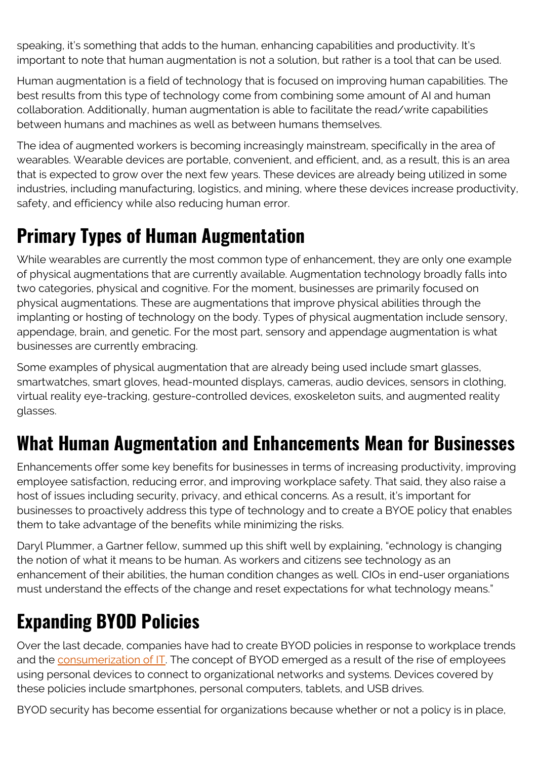speaking, it's something that adds to the human, enhancing capabilities and productivity. It's important to note that human augmentation is not a solution, but rather is a tool that can be used.

Human augmentation is a field of technology that is focused on improving human capabilities. The best results from this type of technology come from combining some amount of AI and human collaboration. Additionally, human augmentation is able to facilitate the read/write capabilities between humans and machines as well as between humans themselves.

The idea of augmented workers is becoming increasingly mainstream, specifically in the area of wearables. Wearable devices are portable, convenient, and efficient, and, as a result, this is an area that is expected to grow over the next few years. These devices are already being utilized in some industries, including manufacturing, logistics, and mining, where these devices increase productivity, safety, and efficiency while also reducing human error.

### **Primary Types of Human Augmentation**

While wearables are currently the most common type of enhancement, they are only one example of physical augmentations that are currently available. Augmentation technology broadly falls into two categories, physical and cognitive. For the moment, businesses are primarily focused on physical augmentations. These are augmentations that improve physical abilities through the implanting or hosting of technology on the body. Types of physical augmentation include sensory, appendage, brain, and genetic. For the most part, sensory and appendage augmentation is what businesses are currently embracing.

Some examples of physical augmentation that are already being used include smart glasses, smartwatches, smart gloves, head-mounted displays, cameras, audio devices, sensors in clothing, virtual reality eye-tracking, gesture-controlled devices, exoskeleton suits, and augmented reality glasses.

### **What Human Augmentation and Enhancements Mean for Businesses**

Enhancements offer some key benefits for businesses in terms of increasing productivity, improving employee satisfaction, reducing error, and improving workplace safety. That said, they also raise a host of issues including security, privacy, and ethical concerns. As a result, it's important for businesses to proactively address this type of technology and to create a BYOE policy that enables them to take advantage of the benefits while minimizing the risks.

Daryl Plummer, a Gartner fellow, summed up this shift well by explaining, "echnology is changing the notion of what it means to be human. As workers and citizens see technology as an enhancement of their abilities, the human condition changes as well. CIOs in end-user organiations must understand the effects of the change and reset expectations for what technology means."

### **Expanding BYOD Policies**

Over the last decade, companies have had to create BYOD policies in response to workplace trends and the [consumerization of IT](https://blogs.bmc.com/blogs/consumerization-of-it/). The concept of BYOD emerged as a result of the rise of employees using personal devices to connect to organizational networks and systems. Devices covered by these policies include smartphones, personal computers, tablets, and USB drives.

BYOD security has become essential for organizations because whether or not a policy is in place,